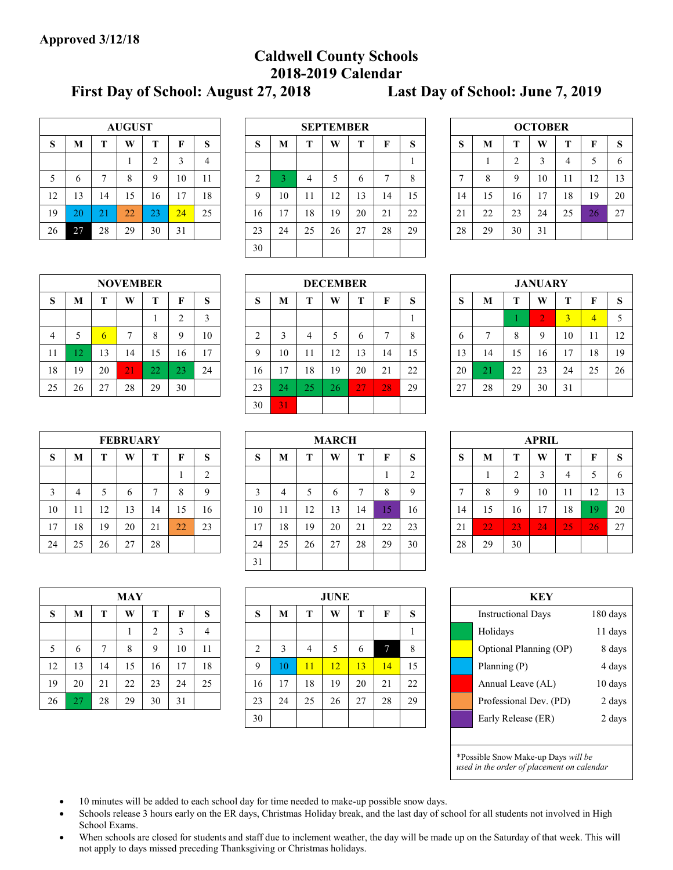# **Caldwell County Schools 2018-2019 Calendar**

**First Day of School: August 27, 2018 Last Day of School: June 7, 2019**

|    | <b>AUGUST</b> |    |    |                |    |                |  |  |  |  |  |  |  |
|----|---------------|----|----|----------------|----|----------------|--|--|--|--|--|--|--|
| S  | M             | T  | W  | T              | F  | S              |  |  |  |  |  |  |  |
|    |               |    |    | $\overline{2}$ | 3  | $\overline{4}$ |  |  |  |  |  |  |  |
| 5  | 6             | 7  | 8  | 9              | 10 | 11             |  |  |  |  |  |  |  |
| 12 | 13            | 14 | 15 | 16             | 17 | 18             |  |  |  |  |  |  |  |
| 19 | 20            | 21 | 22 | 23             | 24 | 25             |  |  |  |  |  |  |  |
| 26 | 27            | 28 | 29 | 30             | 31 |                |  |  |  |  |  |  |  |

| W<br>т<br>F<br>т<br>$\sim$<br>S | W<br>Т<br>S<br>- S<br>M                |
|---------------------------------|----------------------------------------|
|                                 |                                        |
|                                 | 3<br>$\sim$<br>4<br>6                  |
| 8<br>4<br>b                     | 13<br>10<br>12<br>$\circ$<br>9<br>11   |
| 12<br>14<br>13<br>15<br>11      | 20<br>17<br>18<br>19<br>15<br>16<br>14 |
| 20<br>22<br>18<br>19<br>21      | 23<br>27<br>24<br>25<br>22<br>21<br>26 |
| 25<br>27<br>28<br>29<br>26      | 28<br>30<br>29<br>31                   |
|                                 |                                        |
|                                 |                                        |

| <b>OCTOBER</b> |    |                |    |    |    |    |  |  |  |  |  |  |
|----------------|----|----------------|----|----|----|----|--|--|--|--|--|--|
| S              | M  | T              | W  | T  | F  | S  |  |  |  |  |  |  |
|                |    | $\overline{2}$ | 3  | 4  | 5  | 6  |  |  |  |  |  |  |
| 7              | 8  | 9              | 10 | 11 | 12 | 13 |  |  |  |  |  |  |
| 14             | 15 | 16             | 17 | 18 | 19 | 20 |  |  |  |  |  |  |
| 21             | 22 | 23             | 24 | 25 | 26 | 27 |  |  |  |  |  |  |
| 28             | 29 | 30             | 31 |    |    |    |  |  |  |  |  |  |

|    | <b>NOVEMBER</b> |    |    |    |                |    |  |  |  |  |  |  |  |
|----|-----------------|----|----|----|----------------|----|--|--|--|--|--|--|--|
| S  | M               | T  | W  | T  | F              | S  |  |  |  |  |  |  |  |
|    |                 |    |    |    | $\overline{2}$ | 3  |  |  |  |  |  |  |  |
| 4  | 5               | 6  | 7  | 8  | 9              | 10 |  |  |  |  |  |  |  |
| 11 | 12              | 13 | 14 | 15 | 16             | 17 |  |  |  |  |  |  |  |
| 18 | 19              | 20 | 21 | 22 | 23             | 24 |  |  |  |  |  |  |  |
| 25 | 26              | 27 | 28 | 29 | 30             |    |  |  |  |  |  |  |  |

|    |    | <b>NOVEMBER</b> |    |    |    |        |  | <b>DECEMBER</b> |    |    |    |    |    |             | <b>JANUARY</b>     |    |    |        |    |    |    |
|----|----|-----------------|----|----|----|--------|--|-----------------|----|----|----|----|----|-------------|--------------------|----|----|--------|----|----|----|
| S  | M  | т               | W  | m  | п  | c<br>D |  | $\sim$<br>O     | M  | m. | W  |    | п  | $\sim$<br>ø | $\mathbf{C}$<br>D. | M  |    | W      | т  |    | -S |
|    |    |                 |    |    | ◠  | 3      |  |                 |    |    |    |    |    |             |                    |    |    | ◠<br>∠ | 3  | 4  | 5  |
| 4  |    | $\sigma$        | 7  | o  | Q  | 10     |  | ⌒               | 3  |    |    | b  |    | 8           | <sub>0</sub>       | -  | 8  | 9      | 10 |    | 12 |
| 11 |    | 13              | 14 | 15 | 16 | 17     |  | Q               | 10 |    | 12 | 13 | 14 | 15          | 13                 | 14 | 15 | 16     | 17 | 18 | 19 |
| 18 | 19 | 20              | 21 | 22 | 23 | 24     |  | 16              | 17 | 18 | 19 | 20 | 21 | 22          | 20                 |    | 22 | 23     | 24 | 25 | 26 |
| 25 | 26 | 27              | 28 | 29 | 30 |        |  | 23              | 24 | 25 | 26 | 27 | 28 | 29          | 27                 | 28 | 29 | 30     | 31 |    |    |
|    |    |                 |    |    |    |        |  | 30              | 31 |    |    |    |    |             |                    |    |    |        |    |    |    |

| <b>JANUARY</b> |    |    |                |                |    |    |  |  |  |  |  |  |
|----------------|----|----|----------------|----------------|----|----|--|--|--|--|--|--|
| S              | M  | T  | W              | T              | F  | S  |  |  |  |  |  |  |
|                |    |    | $\overline{2}$ | $\overline{3}$ | 4  | 5  |  |  |  |  |  |  |
| 6              | 7  | 8  | 9              | 10             | 11 | 12 |  |  |  |  |  |  |
| 13             | 14 | 15 | 16             | 17             | 18 | 19 |  |  |  |  |  |  |
| 20             | 21 | 22 | 23             | 24             | 25 | 26 |  |  |  |  |  |  |
| 27             | 28 | 29 | 30             | 31             |    |    |  |  |  |  |  |  |

| <b>FEBRUARY</b> |    |    |    |    |    |                |  |  |  |  |  |
|-----------------|----|----|----|----|----|----------------|--|--|--|--|--|
| S               | M  | T  | W  | T  | F  | S              |  |  |  |  |  |
|                 |    |    |    |    |    | $\overline{2}$ |  |  |  |  |  |
| 3               | 4  | 5  | 6  | 7  | 8  | 9              |  |  |  |  |  |
| 10              | 11 | 12 | 13 | 14 | 15 | 16             |  |  |  |  |  |
| 17              | 18 | 19 | 20 | 21 | 22 | 23             |  |  |  |  |  |
| 24              | 25 | 26 | 27 | 28 |    |                |  |  |  |  |  |

|    | <b>FEBRUARY</b> |    |    |    |    |                | <b>MARCH</b> |    |    |    |    | <b>APRIL</b> |              |         |               |    |    |                 |           |              |
|----|-----------------|----|----|----|----|----------------|--------------|----|----|----|----|--------------|--------------|---------|---------------|----|----|-----------------|-----------|--------------|
| S  | M               |    | W  | m  | F  | S              | ົ<br>S       | M  | m  | W  |    | г            | $\sim$<br>D. | c<br>ÞЭ | M             |    | W  |                 |           | <sub>S</sub> |
|    |                 |    |    |    |    | $\bigcap$<br>∠ |              |    |    |    |    |              | ⌒            |         |               |    | 3  | 4               |           | 6            |
| 3  | 4               |    | 6  |    | 8  | $\mathbf Q$    | $\sim$       | 4  |    | b  | -  | 8            | $\mathbf Q$  | -       | $\Omega$<br>◠ | 9  | 10 | 11              | 12<br>14  | 13           |
| 10 |                 | 12 | 13 | 14 | 15 | 16             | 10           | 11 | 12 | 13 | 14 | 5            | 16           | 14      | 15            | 16 | 17 | 18              | -Q        | 20           |
| 17 | 18              | 19 | 20 | 21 | 22 | 23             | 17           | 18 | 19 | 20 | 21 | 22           | 23           | 21      | 22            | 23 | 24 | 25 <sub>1</sub> | <b>26</b> | 27           |
| 24 | 25              | 26 | 27 | 28 |    |                | 24           | 25 | 26 | 27 | 28 | 29           | 30           | 28      | 29            | 30 |    |                 |           |              |
|    |                 |    |    |    |    |                | 31           |    |    |    |    |              |              |         |               |    |    |                 |           |              |

|    | APRIL |    |    |    |    |    |  |  |  |  |  |  |  |  |
|----|-------|----|----|----|----|----|--|--|--|--|--|--|--|--|
| S  | M     | T  | W  | T  | F  | S  |  |  |  |  |  |  |  |  |
|    |       | 2  | 3  | 4  | 5  | 6  |  |  |  |  |  |  |  |  |
| 7  | 8     | 9  | 10 | 11 | 12 | 13 |  |  |  |  |  |  |  |  |
| 14 | 15    | 16 | 17 | 18 | 19 | 20 |  |  |  |  |  |  |  |  |
| 21 | 22    | 23 | 24 | 25 | 26 | 27 |  |  |  |  |  |  |  |  |
| 28 | 29    | 30 |    |    |    |    |  |  |  |  |  |  |  |  |

|    | MAY |    |    |                |    |    |  |  |  |  |  |  |  |
|----|-----|----|----|----------------|----|----|--|--|--|--|--|--|--|
| S  | M   | T  | W  | T              | F  | S  |  |  |  |  |  |  |  |
|    |     |    |    | $\overline{2}$ | 3  | 4  |  |  |  |  |  |  |  |
| 5  | 6   | 7  | 8  | 9              | 10 | 11 |  |  |  |  |  |  |  |
| 12 | 13  | 14 | 15 | 16             | 17 | 18 |  |  |  |  |  |  |  |
| 19 | 20  | 21 | 22 | 23             | 24 | 25 |  |  |  |  |  |  |  |
| 26 | 27  | 28 | 29 | 30             | 31 |    |  |  |  |  |  |  |  |

|    |    |    | <b>MAY</b> |             |    |    |          |    |    | <b>JUNE</b> |              |    |    |  | <b>KEY</b>                |          |
|----|----|----|------------|-------------|----|----|----------|----|----|-------------|--------------|----|----|--|---------------------------|----------|
| S  | M  |    | W          |             |    | S  | c<br>ാ   | M  |    | W           | Т            | F  | S  |  | <b>Instructional Days</b> | 180 days |
|    |    |    |            |             |    | 4  |          |    |    |             |              |    |    |  | Holidays                  | 11 days  |
| 5  | 6  |    | 8          | $\mathbf Q$ | 10 | 11 | $\sim$   | 3  | 4  |             | <sub>b</sub> |    | 8  |  | Optional Planning (OP)    | 8 days   |
| 12 | 13 | 14 | 15         | 16          | 17 | 18 | $\Omega$ | 10 |    | $12 \,$     | 13           | 14 | 15 |  | Planning (P)              | 4 days   |
| 19 | 20 | 21 | 22         | 23          | 24 | 25 | 16       | 17 | 18 | 19          | 20           | 21 | 22 |  | Annual Leave (AL)         | 10 days  |
| 26 | 27 | 28 | 29         | 30          | 31 |    | 23       | 24 | 25 | 26          | 27           | 28 | 29 |  | Professional Dev. (PD)    | 2 days   |
|    |    |    |            |             |    |    | 30       |    |    |             |              |    |    |  | Early Release (ER)        | 2 days   |
|    |    |    |            |             |    |    |          |    |    |             |              |    |    |  |                           |          |

|    |    |    | <b>JUNE</b> |    |    |    |  | <b>KEY</b>                |          |
|----|----|----|-------------|----|----|----|--|---------------------------|----------|
| S  | M  | Т  | W           | T  | F  | S  |  | <b>Instructional Days</b> | 180 days |
|    |    |    |             |    |    |    |  | Holidays                  | 11 days  |
| 2  | 3  | 4  | 5           | 6  | 7  | 8  |  | Optional Planning (OP)    | 8 days   |
| 9  | 10 | 11 | 12          | 13 | 14 | 15 |  | Planning $(P)$            | 4 days   |
| 16 | 17 | 18 | 19          | 20 | 21 | 22 |  | Annual Leave (AL)         | 10 days  |
| 23 | 24 | 25 | 26          | 27 | 28 | 29 |  | Professional Dev. (PD)    | 2 days   |
| 30 |    |    |             |    |    |    |  | Early Release (ER)        | 2 days   |
|    |    |    |             |    |    |    |  |                           |          |

\*Possible Snow Make-up Days *will be* 

*used in the order of placement on calendar*

- 10 minutes will be added to each school day for time needed to make-up possible snow days.
- Schools release 3 hours early on the ER days, Christmas Holiday break, and the last day of school for all students not involved in High School Exams.
- When schools are closed for students and staff due to inclement weather, the day will be made up on the Saturday of that week. This will not apply to days missed preceding Thanksgiving or Christmas holidays.